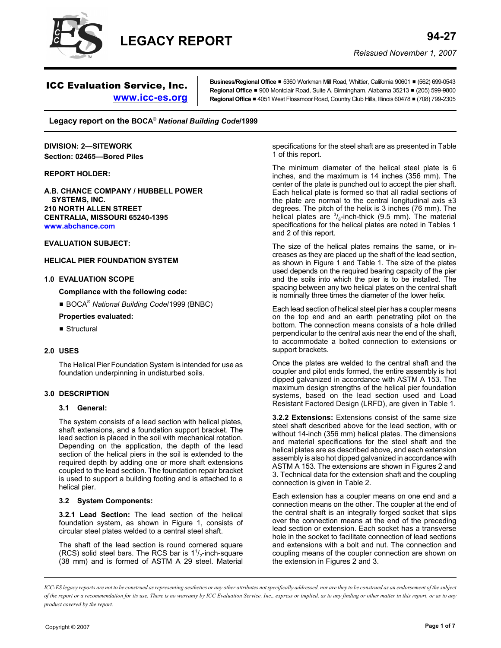

# ICC Evaluation Service, Inc.

**Business/Regional Office ■** 5360 Workman Mill Road, Whittier, California 90601 ■ (562) 699-0543 **Regional Office** ■ 900 Montclair Road, Suite A, Birmingham, Alabama 35213 ■ (205) 599-9800 **Regional Office** # 4051 West Flossmoor Road, Country Club Hills, Illinois 60478 # (708) 799-2305

**Legacy report on the BOCA®** *National Building Code***/1999**

**www.icc-es.org**

**DIVISION: 2—SITEWORK Section: 02465—Bored Piles**

#### **REPORT HOLDER:**

**A.B. CHANCE COMPANY / HUBBELL POWER SYSTEMS, INC. 210 NORTH ALLEN STREET CENTRALIA, MISSOURI 65240-1395 www.abchance.com**

**EVALUATION SUBJECT:**

**HELICAL PIER FOUNDATION SYSTEM**

### **1.0 EVALUATION SCOPE**

**Compliance with the following code:**

■ BOCA<sup>®</sup> National Building Code/1999 (BNBC)

#### **Properties evaluated:**

 $\blacksquare$  Structural

#### **2.0 USES**

The Helical Pier Foundation System is intended for use as foundation underpinning in undisturbed soils.

#### **3.0 DESCRIPTION**

#### **3.1 General:**

The system consists of a lead section with helical plates, shaft extensions, and a foundation support bracket. The lead section is placed in the soil with mechanical rotation. Depending on the application, the depth of the lead section of the helical piers in the soil is extended to the required depth by adding one or more shaft extensions coupled to the lead section. The foundation repair bracket is used to support a building footing and is attached to a helical pier.

#### **3.2 System Components:**

**3.2.1 Lead Section:** The lead section of the helical foundation system, as shown in Figure 1, consists of circular steel plates welded to a central steel shaft.

The shaft of the lead section is round cornered square (RCS) solid steel bars. The RCS bar is  $1^{1}/_{2}$ -inch-square (38 mm) and is formed of ASTM A 29 steel. Material

specifications for the steel shaft are as presented in Table 1 of this report.

The minimum diameter of the helical steel plate is 6 inches, and the maximum is 14 inches (356 mm). The center of the plate is punched out to accept the pier shaft. Each helical plate is formed so that all radial sections of the plate are normal to the central longitudinal axis  $\pm 3$ degrees. The pitch of the helix is 3 inches (76 mm). The helical plates are  $\frac{3}{8}$ -inch-thick (9.5 mm). The material specifications for the helical plates are noted in Tables 1 and 2 of this report.

The size of the helical plates remains the same, or increases as they are placed up the shaft of the lead section, as shown in Figure 1 and Table 1. The size of the plates used depends on the required bearing capacity of the pier and the soils into which the pier is to be installed. The spacing between any two helical plates on the central shaft is nominally three times the diameter of the lower helix.

Each lead section of helical steel pier has a coupler means on the top end and an earth penetrating pilot on the bottom. The connection means consists of a hole drilled perpendicular to the central axis near the end of the shaft, to accommodate a bolted connection to extensions or support brackets.

Once the plates are welded to the central shaft and the coupler and pilot ends formed, the entire assembly is hot dipped galvanized in accordance with ASTM A 153. The maximum design strengths of the helical pier foundation systems, based on the lead section used and Load Resistant Factored Design (LRFD), are given in Table 1.

**3.2.2 Extensions:** Extensions consist of the same size steel shaft described above for the lead section, with or without 14-inch (356 mm) helical plates. The dimensions and material specifications for the steel shaft and the helical plates are as described above, and each extension assembly is also hot dipped galvanized in accordance with ASTM A 153. The extensions are shown in Figures 2 and 3. Technical data for the extension shaft and the coupling connection is given in Table 2.

Each extension has a coupler means on one end and a connection means on the other. The coupler at the end of the central shaft is an integrally forged socket that slips over the connection means at the end of the preceding lead section or extension. Each socket has a transverse hole in the socket to facilitate connection of lead sections and extensions with a bolt and nut. The connection and coupling means of the coupler connection are shown on the extension in Figures 2 and 3.

*ICC-ES legacy reports are not to be construed as representing aesthetics or any other attributes not specifically addressed, nor are they to be construed as an endorsement of the subject of the report or a recommendation for its use. There is no warranty by ICC Evaluation Service, Inc., express or implied, as to any finding or other matter in this report, or as to any product covered by the report.*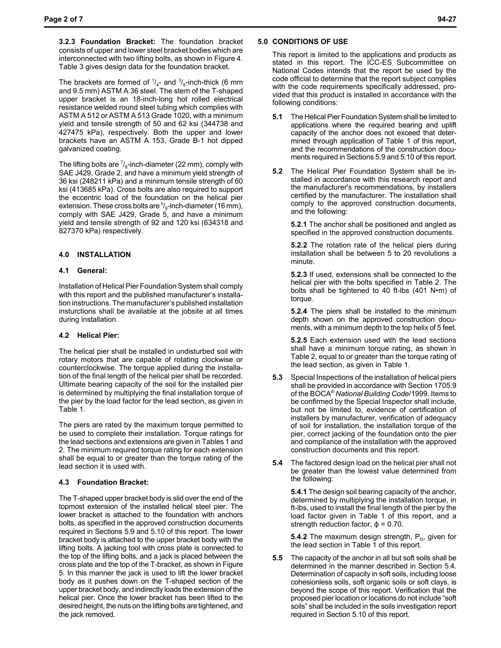**3.2.3 Foundation Bracket:** The foundation bracket consists of upper and lower steel bracket bodies which are interconnected with two lifting bolts, as shown in Figure 4. Table 3 gives design data for the foundation bracket.

The brackets are formed of  $\frac{1}{4}$ - and  $\frac{3}{8}$ -inch-thick (6 mm and 9.5 mm) ASTM A 36 steel. The stem of the T-shaped upper bracket is an 18-inch-long hot rolled electrical resistance welded round steel tubing which complies with ASTM A 512 or ASTM A 513 Grade 1020, with a minimum yield and tensile strength of 50 and 62 ksi (344738 and 427475 kPa), respectively. Both the upper and lower brackets have an ASTM A 153, Grade B-1 hot dipped galvanized coating.

The lifting bolts are  $\frac{7}{8}$ -inch-diameter (22 mm), comply with SAE J429, Grade 2, and have a minimum yield strength of 36 ksi (248211 kPa) and a minimum tensile strength of 60 ksi (413685 kPa). Cross bolts are also required to support the eccentric load of the foundation on the helical pier extension. These cross bolts are  $5/6$ -inch-diameter (16 mm), comply with SAE J429, Grade 5, and have a minimum yield and tensile strength of 92 and 120 ksi (634318 and 827370 kPa) respectively.

## **4.0 INSTALLATION**

#### **4.1 General:**

Installation of Helical Pier Foundation System shall comply with this report and the published manufacturer's installation instructions. The manufacturer's published installation insturctions shall be available at the jobsite at all times during installation.

#### **4.2 Helical Pier:**

The helical pier shall be installed in undisturbed soil with rotary motors that are capable of rotating clockwise or counterclockwise. The torque applied during the installation of the final length of the helical pier shall be recorded. Ultimate bearing capacity of the soil for the installed pier is determined by multiplying the final installation torque of the pier by the load factor for the lead section, as given in Table 1.

The piers are rated by the maximum torque permitted to be used to complete their installation. Torque ratings for the lead sections and extensions are given in Tables 1 and 2. The minimum required torque rating for each extension shall be equal to or greater than the torque rating of the lead section it is used with.

#### **4.3 Foundation Bracket:**

The T-shaped upper bracket body is slid over the end of the topmost extension of the installed helical steel pier. The lower bracket is attached to the foundation with anchors bolts, as specified in the approved construction documents required in Sections 5.9 and 5.10 of this report. The lower bracket body is attached to the upper bracket body with the lifting bolts. A jacking tool with cross plate is connected to the top of the lifting bolts, and a jack is placed between the cross plate and the top of the T-bracket, as shown in Figure 5. In this manner the jack is used to lift the lower bracket body as it pushes down on the T-shaped section of the upper bracket body, and indirectly loads the extension of the helical pier. Once the lower bracket has been lifted to the desired height, the nuts on the lifting bolts are tightened, and the jack removed.

## **5.0 CONDITIONS OF USE**

This report is limited to the applications and products as stated in this report. The ICC-ES Subcommittee on National Codes intends that the report be used by the code official to determine that the report subject complies with the code requirements specifically addressed, provided that this product is installed in accordance with the following conditions:

- **5.1** The Helical Pier Foundation System shall be limited to applications where the required bearing and uplift capacity of the anchor does not exceed that determined through application of Table 1 of this report, and the recommendations of the construction documents required in Sections 5.9 and 5.10 of this report.
- **5.2** The Helical Pier Foundation System shall be installed in accordance with this research report and the manufacturer's recommendations, by installers certified by the manufacturer. The installation shall comply to the approved construction documents, and the following:

**5.2.1** The anchor shall be positioned and angled as specified in the approved construction documents.

**5.2.2** The rotation rate of the helical piers during installation shall be between 5 to 20 revolutions a minute.

**5.2.3** If used, extensions shall be connected to the helical pier with the bolts specified in Table 2. The bolts shall be tightened to 40 ft-lbs (401 N•m) of torque.

**5.2.4** The piers shall be installed to the minimum depth shown on the approved construction documents, with a minimum depth to the top helix of 5 feet.

**5.2.5** Each extension used with the lead sections shall have a minimum torque rating, as shown in Table 2, equal to or greater than the torque rating of the lead section, as given in Table 1.

- **5.3** Special Inspections of the installation of helical piers shall be provided in accordance with Section 1705.9 of the BOCA® *National Building Code*/1999. Items to be confirmed by the Special Inspector shall include, but not be limited to, evidence of certification of installers by manufacturer, verification of adequacy of soil for installation, the installation torque of the pier, correct jacking of the foundation onto the pier and compliance of the installation with the approved construction documents and this report.
- **5.4** The factored design load on the helical pier shall not be greater than the lowest value determined from the following:

**5.4.1** The design soil bearing capacity of the anchor, determined by multiplying the installation torque, in ft-lbs, used to install the final length of the pier by the load factor given in Table 1 of this report, and a strength reduction factor,  $\phi$  = 0.70.

**5.4.2** The maximum design strength, P<sub>D</sub>, given for the lead section in Table 1 of this report.

**5.5** The capacity of the anchor in all but soft soils shall be determined in the manner described in Section 5.4. Determination of capacity in soft soils, including loose cohesionless soils, soft organic soils or soft clays, is beyond the scope of this report. Verification that the proposed pier location or locations do not include "soft soils" shall be included in the soils investigation report required in Section 5.10 of this report.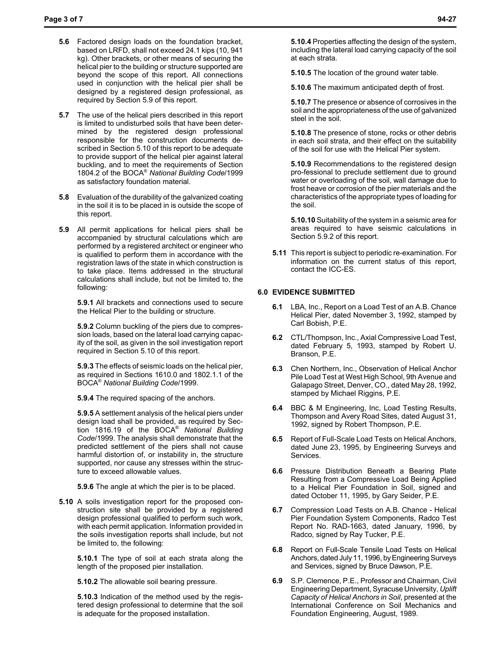- **5.6** Factored design loads on the foundation bracket, based on LRFD, shall not exceed 24.1 kips (10, 941 kg). Other brackets, or other means of securing the helical pier to the building or structure supported are beyond the scope of this report. All connections used in conjunction with the helical pier shall be designed by a registered design professional, as required by Section 5.9 of this report.
- **5.7** The use of the helical piers described in this report is limited to undisturbed soils that have been determined by the registered design professional responsible for the construction documents described in Section 5.10 of this report to be adequate to provide support of the helical pier against lateral buckling, and to meet the requirements of Section 1804.2 of the BOCA® *National Building Code*/1999 as satisfactory foundation material.
- **5.8** Evaluation of the durability of the galvanized coating in the soil it is to be placed in is outside the scope of this report.
- **5.9** All permit applications for helical piers shall be accompanied by structural calculations which are performed by a registered architect or engineer who is qualified to perform them in accordance with the registration laws of the state in which construction is to take place. Items addressed in the structural calculations shall include, but not be limited to, the following:

**5.9.1** All brackets and connections used to secure the Helical Pier to the building or structure.

**5.9.2** Column buckling of the piers due to compression loads, based on the lateral load carrying capacity of the soil, as given in the soil investigation report required in Section 5.10 of this report.

**5.9.3** The effects of seismic loads on the helical pier, as required in Sections 1610.0 and 1802.1.1 of the BOCA® *National Building Code*/1999.

**5.9.4** The required spacing of the anchors.

**5.9.5** A settlement analysis of the helical piers under design load shall be provided, as required by Section 1816.19 of the BOCA® *National Building Code*/1999. The analysis shall demonstrate that the predicted settlement of the piers shall not cause harmful distortion of, or instability in, the structure supported, nor cause any stresses within the structure to exceed allowable values.

**5.9.6** The angle at which the pier is to be placed.

**5.10** A soils investigation report for the proposed construction site shall be provided by a registered design professional qualified to perform such work, with each permit application. Information provided in the soils investigation reports shall include, but not be limited to, the following:

**5.10.1** The type of soil at each strata along the length of the proposed pier installation.

**5.10.2** The allowable soil bearing pressure.

**5.10.3** Indication of the method used by the registered design professional to determine that the soil is adequate for the proposed installation.

**5.10.4** Properties affecting the design of the system, including the lateral load carrying capacity of the soil at each strata.

**5.10.5** The location of the ground water table.

**5.10.6** The maximum anticipated depth of frost.

**5.10.7** The presence or absence of corrosives in the soil and the appropriateness of the use of galvanized steel in the soil.

**5.10.8** The presence of stone, rocks or other debris in each soil strata, and their effect on the suitability of the soil for use with the Helical Pier system.

**5.10.9** Recommendations to the registered design pro-fessional to preclude settlement due to ground water or overloading of the soil, wall damage due to frost heave or corrosion of the pier materials and the characteristics of the appropriate types of loading for the soil.

**5.10.10** Suitability of the system in a seismic area for areas required to have seismic calculations in Section 5.9.2 of this report.

**5.11** This report is subject to periodic re-examination. For information on the current status of this report, contact the ICC-ES.

## **6.0 EVIDENCE SUBMITTED**

- **6.1** LBA, Inc., Report on a Load Test of an A.B. Chance Helical Pier, dated November 3, 1992, stamped by Carl Bobish, P.E.
- **6.2** CTL/Thompson, Inc., Axial Compressive Load Test, dated February 5, 1993, stamped by Robert U. Branson, P.E.
- **6.3** Chen Northern, Inc., Observation of Helical Anchor Pile Load Test at West High School, 9th Avenue and Galapago Street, Denver, CO., dated May 28, 1992, stamped by Michael Riggins, P.E.
- **6.4** BBC & M Engineering, Inc, Load Testing Results, Thompson and Avery Road Sites, dated August 31, 1992, signed by Robert Thompson, P.E.
- **6.5** Report of Full-Scale Load Tests on Helical Anchors, dated June 23, 1995, by Engineering Surveys and Services.
- **6.6** Pressure Distribution Beneath a Bearing Plate Resulting from a Compressive Load Being Applied to a Helical Pier Foundation in Soil, signed and dated October 11, 1995, by Gary Seider, P.E.
- **6.7** Compression Load Tests on A.B. Chance Helical Pier Foundation System Components, Radco Test Report No. RAD-1663, dated January, 1996, by Radco, signed by Ray Tucker, P.E.
- **6.8** Report on Full-Scale Tensile Load Tests on Helical Anchors, dated July 11, 1996, by Engineering Surveys and Services, signed by Bruce Dawson, P.E.
- **6.9** S.P. Clemence, P.E., Professor and Chairman, Civil Engineering Department, Syracuse University, *Uplift Capacity of Helical Anchors in Soil*, presented at the International Conference on Soil Mechanics and Foundation Engineering, August, 1989.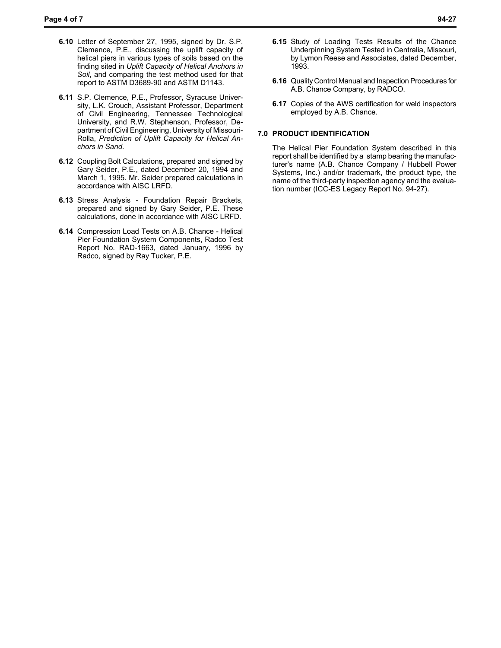- **6.10** Letter of September 27, 1995, signed by Dr. S.P. Clemence, P.E., discussing the uplift capacity of helical piers in various types of soils based on the finding sited in *Uplift Capacity of Helical Anchors in Soil*, and comparing the test method used for that report to ASTM D3689-90 and ASTM D1143.
- **6.11** S.P. Clemence, P.E., Professor, Syracuse University, L.K. Crouch, Assistant Professor, Department of Civil Engineering, Tennessee Technological University, and R.W. Stephenson, Professor, Department of Civil Engineering, University of Missouri-Rolla, *Prediction of Uplift Capacity for Helical Anchors in Sand*.
- **6.12** Coupling Bolt Calculations, prepared and signed by Gary Seider, P.E., dated December 20, 1994 and March 1, 1995. Mr. Seider prepared calculations in accordance with AISC LRFD.
- **6.13** Stress Analysis Foundation Repair Brackets, prepared and signed by Gary Seider, P.E. These calculations, done in accordance with AISC LRFD.
- **6.14** Compression Load Tests on A.B. Chance Helical Pier Foundation System Components, Radco Test Report No. RAD-1663, dated January, 1996 by Radco, signed by Ray Tucker, P.E.
- **6.15** Study of Loading Tests Results of the Chance Underpinning System Tested in Centralia, Missouri, by Lymon Reese and Associates, dated December, 1993.
- **6.16** Quality Control Manual and Inspection Procedures for A.B. Chance Company, by RADCO.
- **6.17** Copies of the AWS certification for weld inspectors employed by A.B. Chance.

#### **7.0 PRODUCT IDENTIFICATION**

The Helical Pier Foundation System described in this report shall be identified by a stamp bearing the manufacturer's name (A.B. Chance Company / Hubbell Power Systems, Inc.) and/or trademark, the product type, the name of the third-party inspection agency and the evaluation number (ICC-ES Legacy Report No. 94-27).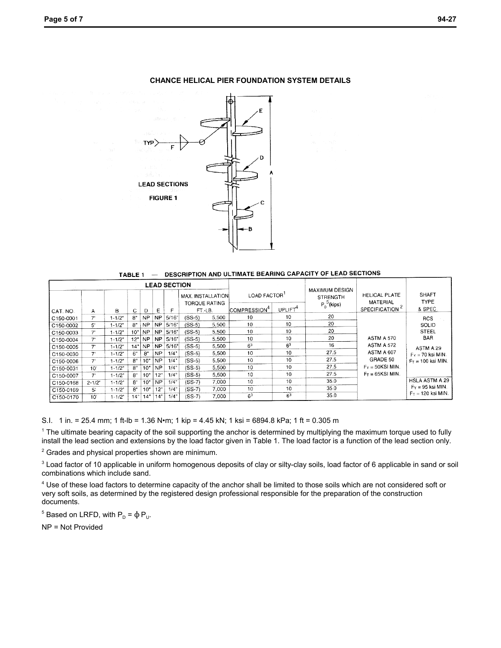

#### **CHANCE HELICAL PIER FOUNDATION SYSTEM DETAILS**

TABLE 1 - DESCRIPTION AND ULTIMATE BEARING CAPACITY OF LEAD SECTIONS

| <b>LEAD SECTION</b>   |                |            |     |           |           |       |                                    |       |                          |                     |                                              |                                  |                             |
|-----------------------|----------------|------------|-----|-----------|-----------|-------|------------------------------------|-------|--------------------------|---------------------|----------------------------------------------|----------------------------------|-----------------------------|
|                       |                |            |     |           |           |       | MAX. INSTALLATION<br>TORQUE RATING |       | LOAD FACTOR              |                     | MAXIMUM DESIGN<br>STRENGTH<br>$P_p^5$ (kips) | <b>HELICAL PLATE</b><br>MATERIAL | <b>SHAFT</b><br><b>TYPE</b> |
| CAT. NO.              | Α              | в          | C   | D         | Е         | F     | FT.-LB.                            |       | COMPRESSION <sup>4</sup> | UPLIFT <sup>4</sup> |                                              | SPECIFICATION <sup>2</sup>       | & SPEC.                     |
| C150-0001             | 7'             | $1 - 1/2"$ | 8"  | <b>NP</b> | <b>NP</b> | 5/16" | $(SS-5)$                           | 5.500 | 10                       | 10                  | 20                                           |                                  | <b>RCS</b>                  |
| C150-0002             | 5'             | $1 - 1/2"$ | 8"  | <b>NP</b> | <b>NP</b> | 5/16" | $(SS-5)$                           | 5.500 | 10                       | 10                  | 20                                           |                                  | SOLID                       |
| C150-0003             | 7'             | $1 - 1/2"$ | 10" | <b>NP</b> | <b>NP</b> | 5/16' | $(SS-5)$                           | 5.500 | 10                       | 10                  | 20                                           |                                  | STEEL                       |
| C150-0004             | 7'             | $1 - 1/2"$ | 12" | <b>NP</b> | <b>NP</b> | 5/16" | $(SS-5)$                           | 5.500 | $10^{-1}$                | 10                  | 20                                           | <b>ASTM A 570</b>                | <b>BAR</b>                  |
| C150-0005             | $7^{\circ}$    | $1 - 1/2"$ | 14" | <b>NP</b> | NP.       | 5/16" | $(SS-5)$                           | 5,500 | 6 <sup>3</sup>           | 6 <sup>3</sup>      | 16                                           | <b>ASTM A 572</b>                | ASTM A 29                   |
| C150-0030             | 7'             | $1 - 1/2"$ | 6"  | 8"        | <b>NP</b> | 1/4"  | $(SS-5)$                           | 5.500 | 10                       | 10                  | 27.5                                         | ASTM A 607                       | $F_Y = 70$ ksi MIN.         |
| C150-0006             | 7'             | $1 - 1/2"$ | 8"  | 10"       | <b>NP</b> | 1/4"  | $(SS-5)$                           | 5.500 | 10                       | 10                  | 27.5                                         | GRADE 50                         | $F_T = 100$ ksi MIN.        |
| C150-0031             | 10'            | $1 - 1/2"$ | 8"  | 10"       | <b>NP</b> | 1/4"  | (SS-5)                             | 5,500 | 10                       | 10                  | 27.5                                         | $F_v = 50$ KSI MIN.              |                             |
| C <sub>150-0007</sub> | 7'             | $1 - 1/2"$ | 8"  | 10"       | 12"       | 1/4"  | $(SS-5)$                           | 5.500 | 10                       | 10                  | 27.5                                         | $F_T = 65KSI$ MIN.               |                             |
| C150-0168             | $2 - 1/2$      | $1 - 1/2"$ | 8"  | 10"       | <b>NP</b> | 1/4"  | $(SS-7)$                           | 7.000 | 10                       | 10                  | 35.0                                         |                                  | HSLA ASTM A 29              |
| C150-0169             | 5 <sup>1</sup> | $1 - 1/2"$ | 8"  | 10"       | 12"       | 1/4"  | $(SS-7)$                           | 7,000 | 10                       | 10                  | 35.0                                         |                                  | $F_Y = 95$ ksi MIN.         |
| C150-0170             | 10'            | $1 - 1/2"$ | 14" | 14°       | 14"       | 1/4"  | $(SS-7)$                           | 7.000 | 6 <sup>3</sup>           | 6 <sup>3</sup>      | 35.0                                         |                                  | $F_T = 120$ ksi MIN.        |

S.I. 1 in. = 25.4 mm; 1 ft-lb = 1.36 N•m; 1 kip = 4.45 kN; 1 ksi = 6894.8 kPa; 1 ft = 0.305 m

<sup>1</sup> The ultimate bearing capacity of the soil supporting the anchor is determined by multiplying the maximum torque used to fully install the lead section and extensions by the load factor given in Table 1. The load factor is a function of the lead section only.

<sup>2</sup> Grades and physical properties shown are minimum.

 $3$  Load factor of 10 applicable in uniform homogenous deposits of clay or silty-clay soils, load factor of 6 applicable in sand or soil combinations which include sand.

<sup>4</sup> Use of these load factors to determine capacity of the anchor shall be limited to those soils which are not considered soft or very soft soils, as determined by the registered design professional responsible for the preparation of the construction documents.

<sup>5</sup> Based on LRFD, with  $P<sub>D</sub> = φ P<sub>U</sub>$ .

NP = Not Provided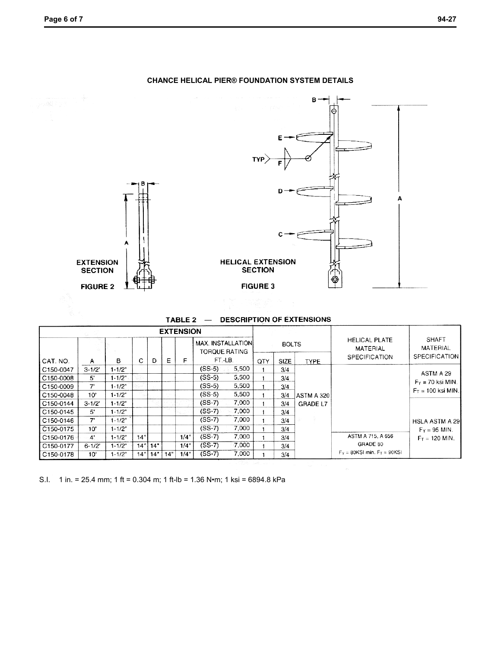

#### **CHANCE HELICAL PIER® FOUNDATION SYSTEM DETAILS**

## TABLE 2 - DESCRIPTION OF EXTENSIONS

| <b>EXTENSION</b> |           |            |     |     |     |      |                                            |       |              |             |             |                                    |                       |
|------------------|-----------|------------|-----|-----|-----|------|--------------------------------------------|-------|--------------|-------------|-------------|------------------------------------|-----------------------|
|                  |           |            |     |     |     |      | <b>MAX. INSTALLATION!</b><br>TORQUE RATING |       | <b>BOLTS</b> |             |             | <b>HELICAL PLATE</b><br>MATERIAL   | SHAFT<br>MATERIAL     |
| CAT. NO.         | А         | в          | C   | D   | Е   | F    | FT.-LB.                                    |       | <b>OTY</b>   | <b>SIZE</b> | <b>TYPE</b> | SPECIFICATION                      | <b>SPECIFICATION</b>  |
| C150-0047        | $3 - 1/2$ | $1 - 1/2"$ |     |     |     |      | $(SS-5)$                                   | 5.500 |              | 3/4         |             |                                    |                       |
| C150-0008        | 5'        | $1 - 1/2$  |     |     |     |      | (SS-5)                                     | 5,500 |              | 3/4         |             |                                    | ASTM A 29             |
| C150-0009        | 7'        | $1 - 1/2"$ |     |     |     |      | $(SS-5)$                                   | 5,500 |              | 3/4         |             |                                    | $F_Y = 70$ ksi MIN.   |
| C150-0048        | 10'       | $1 - 1/2"$ |     |     |     |      | (SS-5)                                     | 5,500 |              | 3/4         | IASTM A 320 |                                    | $F_T = 100$ ksi MIN.  |
| C150-0144        | $3 - 1/2$ | $1 - 1/2"$ |     |     |     |      | (SS-7)                                     | 7,000 |              | 3/4         | GRADE L7    |                                    |                       |
| C150-0145        | 5'        | $1 - 1/2"$ |     |     |     |      | $(SS-7)$                                   | 7,000 |              | 3/4         |             |                                    |                       |
| C150-0146        | 7'        | $1 - 1/2$  |     |     |     |      | $(SS-7)$                                   | 7,000 |              | 3/4         |             |                                    | <b>HSLA ASTM A 29</b> |
| C150-0175        | 10'       | $1 - 1/2"$ |     |     |     |      | $(SS-7)$                                   | 7,000 |              | 3/4         |             |                                    | $F_Y = 95$ MIN.       |
| C150-0176        | 4'        | $1 - 1/2"$ | 14" |     |     | 1/4" | $(SS-7)$                                   | 7,000 |              | 3/4         |             | ASTM A 715, A 656                  | $Fr = 120$ MIN.       |
| C150-0177        | $6 - 1/2$ | $1 - 1/2"$ | 14" | 14" |     | 1/4  | $(SS-7)$                                   | 7.000 |              | 3/4         |             | GRADE 80                           |                       |
| C150-0178        | 10'       | $1 - 1/2"$ | 14" | 14" | 14" | 1/4" | $(SS-7)$                                   | 7.000 |              | 3/4         |             | $F_Y = 80$ KSI min. $F_T = 90$ KSI |                       |

S.I. 1 in. = 25.4 mm; 1 ft = 0.304 m; 1 ft-lb = 1.36 N•m; 1 ksi = 6894.8 kPa